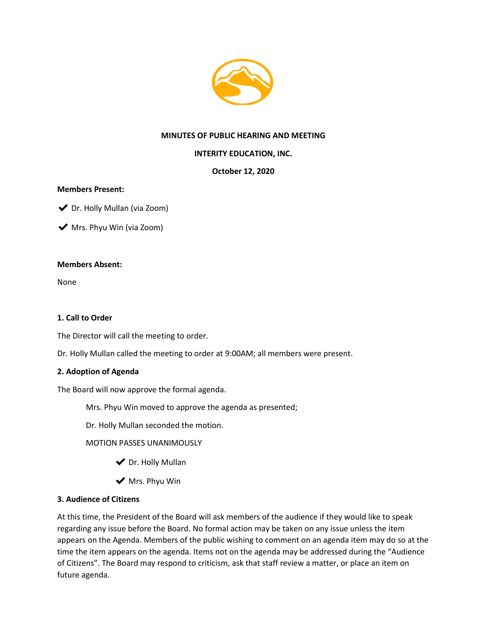

# **MINUTES OF PUBLIC HEARING AND MEETING**

# **INTERITY EDUCATION, INC.**

## **October 12, 2020**

#### **Members Present:**

◆ Dr. Holly Mullan (via Zoom)

◆ Mrs. Phyu Win (via Zoom)

#### **Members Absent:**

None

#### **1. Call to Order**

The Director will call the meeting to order.

Dr. Holly Mullan called the meeting to order at 9:00AM; all members were present.

#### **2. Adoption of Agenda**

The Board will now approve the formal agenda.

Mrs. Phyu Win moved to approve the agenda as presented;

Dr. Holly Mullan seconded the motion.

## MOTION PASSES UNANIMOUSLY

- ◆ Dr. Holly Mullan
- ◆ Mrs. Phyu Win

## **3. Audience of Citizens**

At this time, the President of the Board will ask members of the audience if they would like to speak regarding any issue before the Board. No formal action may be taken on any issue unless the item appears on the Agenda. Members of the public wishing to comment on an agenda item may do so at the time the item appears on the agenda. Items not on the agenda may be addressed during the "Audience of Citizens". The Board may respond to criticism, ask that staff review a matter, or place an item on future agenda.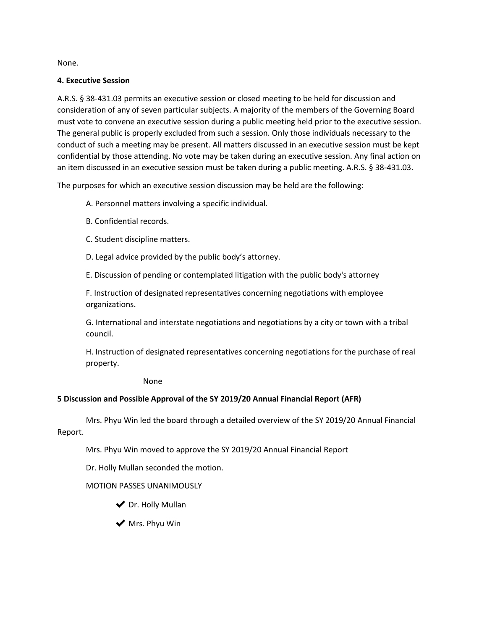None.

## **4. Executive Session**

A.R.S. § 38-431.03 permits an executive session or closed meeting to be held for discussion and consideration of any of seven particular subjects. A majority of the members of the Governing Board must vote to convene an executive session during a public meeting held prior to the executive session. The general public is properly excluded from such a session. Only those individuals necessary to the conduct of such a meeting may be present. All matters discussed in an executive session must be kept confidential by those attending. No vote may be taken during an executive session. Any final action on an item discussed in an executive session must be taken during a public meeting. A.R.S. § 38-431.03.

The purposes for which an executive session discussion may be held are the following:

A. Personnel matters involving a specific individual.

B. Confidential records.

C. Student discipline matters.

D. Legal advice provided by the public body's attorney.

E. Discussion of pending or contemplated litigation with the public body's attorney

F. Instruction of designated representatives concerning negotiations with employee organizations.

G. International and interstate negotiations and negotiations by a city or town with a tribal council.

H. Instruction of designated representatives concerning negotiations for the purchase of real property.

None

## **5 Discussion and Possible Approval of the SY 2019/20 Annual Financial Report (AFR)**

Mrs. Phyu Win led the board through a detailed overview of the SY 2019/20 Annual Financial Report.

Mrs. Phyu Win moved to approve the SY 2019/20 Annual Financial Report

Dr. Holly Mullan seconded the motion.

## MOTION PASSES UNANIMOUSLY

- ◆ Dr. Holly Mullan
- ◆ Mrs. Phyu Win